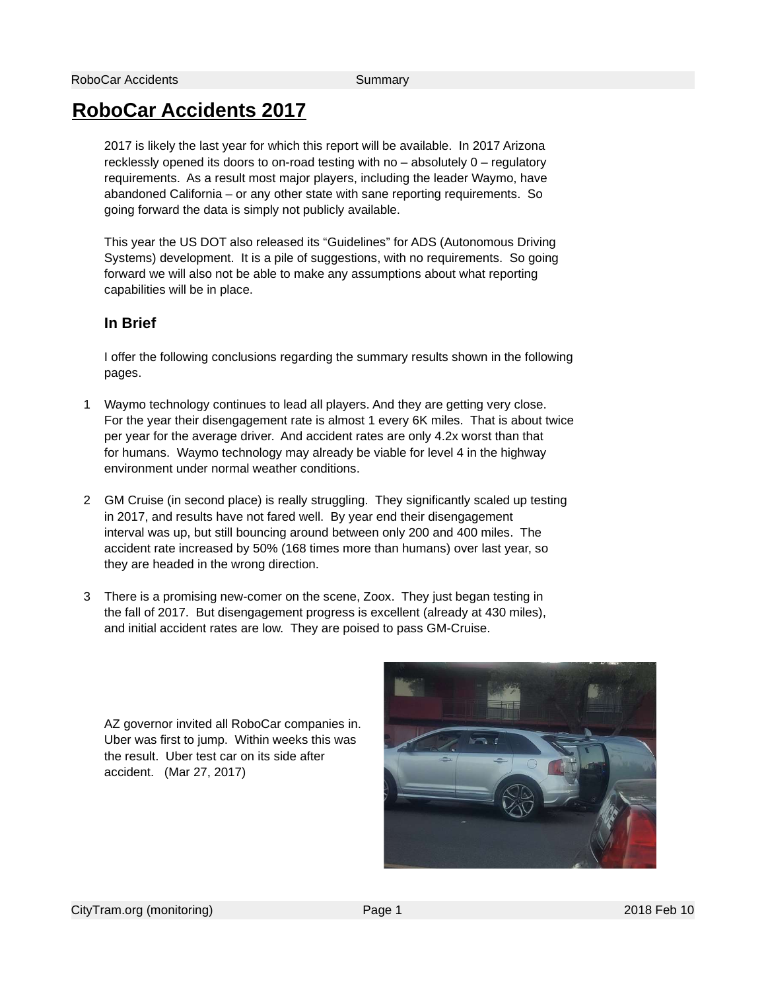#### RoboCar Accidents 2017

2017 is likely the last year for which this report will be available. In 2017 Arizona recklessly opened its doors to on-road testing with no – absolutely 0 – regulatory requirements. As a result most major players, including the leader Waymo, have abandoned California – or any other state with sane reporting requirements. So going forward the data is simply not publicly available.

This year the US DOT also released its "Guidelines" for ADS (Autonomous Driving Systems) development. It is a pile of suggestions, with no requirements. So going forward we will also not be able to make any assumptions about what reporting capabilities will be in place.

#### In Brief

I offer the following conclusions regarding the summary results shown in the following pages.

- 1 Waymo technology continues to lead all players. And they are getting very close. For the year their disengagement rate is almost 1 every 6K miles. That is about twice per year for the average driver. And accident rates are only 4.2x worst than that for humans. Waymo technology may already be viable for level 4 in the highway environment under normal weather conditions.
- 2 GM Cruise (in second place) is really struggling. They significantly scaled up testing in 2017, and results have not fared well. By year end their disengagement interval was up, but still bouncing around between only 200 and 400 miles. The accident rate increased by 50% (168 times more than humans) over last year, so they are headed in the wrong direction.
- 3 There is a promising new-comer on the scene, Zoox. They just began testing in the fall of 2017. But disengagement progress is excellent (already at 430 miles), and initial accident rates are low. They are poised to pass GM-Cruise.

AZ governor invited all RoboCar companies in. Uber was first to jump. Within weeks this was the result. Uber test car on its side after accident. (Mar 27, 2017)

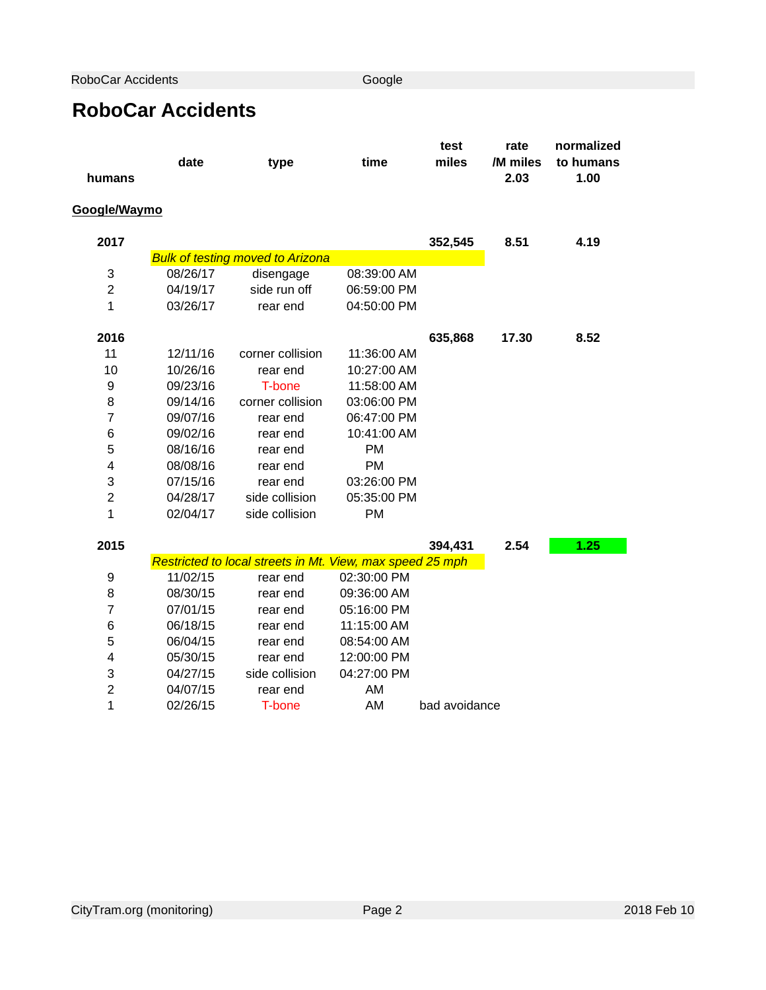RoboCar Accidents Google

## RoboCar Accidents

|                |          |                                                           |             | test          | rate             | normalized        |
|----------------|----------|-----------------------------------------------------------|-------------|---------------|------------------|-------------------|
|                | date     | type                                                      | time        | miles         | /M miles<br>2.03 | to humans<br>1.00 |
| humans         |          |                                                           |             |               |                  |                   |
| Google/Waymo   |          |                                                           |             |               |                  |                   |
| 2017           |          |                                                           |             | 352,545       | 8.51             | 4.19              |
|                |          | <b>Bulk of testing moved to Arizona</b>                   |             |               |                  |                   |
| 3              | 08/26/17 | disengage                                                 | 08:39:00 AM |               |                  |                   |
| $\overline{2}$ | 04/19/17 | side run off                                              | 06:59:00 PM |               |                  |                   |
| $\mathbf{1}$   | 03/26/17 | rear end                                                  | 04:50:00 PM |               |                  |                   |
| 2016           |          |                                                           |             | 635,868       | 17.30            | 8.52              |
| 11             | 12/11/16 | corner collision                                          | 11:36:00 AM |               |                  |                   |
| 10             | 10/26/16 | rear end                                                  | 10:27:00 AM |               |                  |                   |
| 9              | 09/23/16 | T-bone                                                    | 11:58:00 AM |               |                  |                   |
| 8              | 09/14/16 | corner collision                                          | 03:06:00 PM |               |                  |                   |
| $\overline{7}$ | 09/07/16 | rear end                                                  | 06:47:00 PM |               |                  |                   |
| 6              | 09/02/16 | rear end                                                  | 10:41:00 AM |               |                  |                   |
| 5              | 08/16/16 | rear end                                                  | PM          |               |                  |                   |
| 4              | 08/08/16 | rear end                                                  | <b>PM</b>   |               |                  |                   |
| 3              | 07/15/16 | rear end                                                  | 03:26:00 PM |               |                  |                   |
| $\overline{c}$ | 04/28/17 | side collision                                            | 05:35:00 PM |               |                  |                   |
| $\mathbf{1}$   | 02/04/17 | side collision                                            | <b>PM</b>   |               |                  |                   |
| 2015           |          |                                                           |             | 394,431       | 2.54             | 1.25              |
|                |          | Restricted to local streets in Mt. View, max speed 25 mph |             |               |                  |                   |
| 9              | 11/02/15 | rear end                                                  | 02:30:00 PM |               |                  |                   |
| 8              | 08/30/15 | rear end                                                  | 09:36:00 AM |               |                  |                   |
| 7              | 07/01/15 | rear end                                                  | 05:16:00 PM |               |                  |                   |
| 6              | 06/18/15 | rear end                                                  | 11:15:00 AM |               |                  |                   |
| 5              | 06/04/15 | rear end                                                  | 08:54:00 AM |               |                  |                   |
| 4              | 05/30/15 | rear end                                                  | 12:00:00 PM |               |                  |                   |
| 3              | 04/27/15 | side collision                                            | 04:27:00 PM |               |                  |                   |
| $\overline{c}$ | 04/07/15 | rear end                                                  | AM          |               |                  |                   |
| $\mathbf{1}$   | 02/26/15 | T-bone                                                    | AM          | bad avoidance |                  |                   |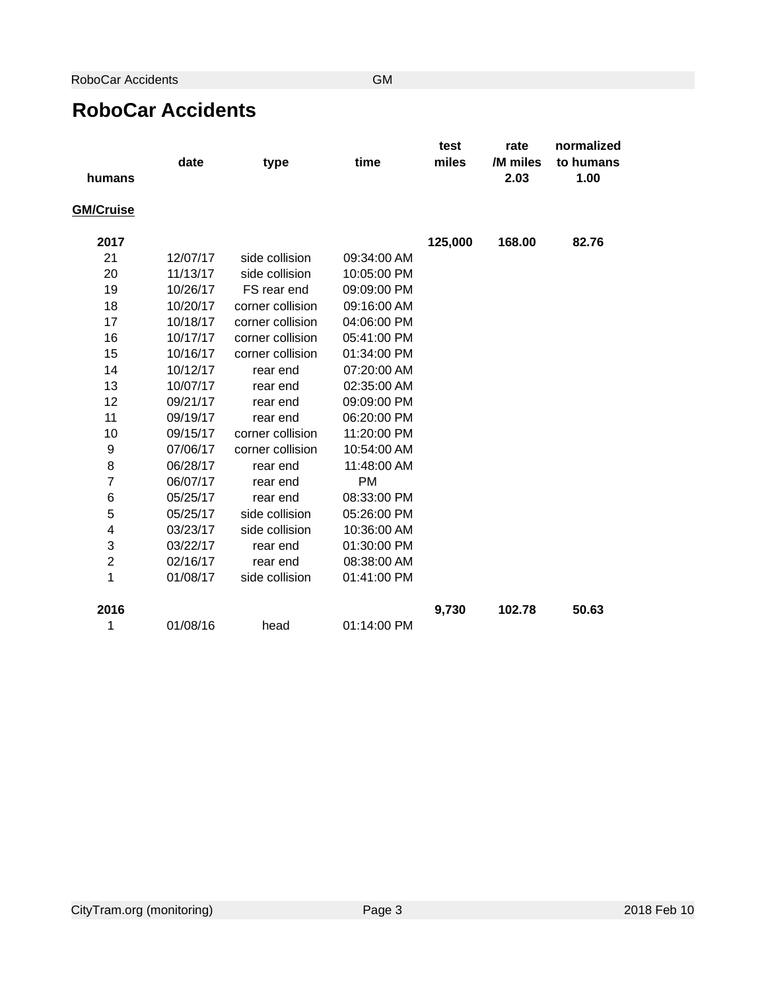### RoboCar Accidents

|                  | date     | type             | time        | test<br>miles | rate<br>/M miles | normalized<br>to humans |
|------------------|----------|------------------|-------------|---------------|------------------|-------------------------|
| humans           |          |                  |             |               | 2.03             | 1.00                    |
| <b>GM/Cruise</b> |          |                  |             |               |                  |                         |
| 2017             |          |                  |             | 125,000       | 168.00           | 82.76                   |
| 21               | 12/07/17 | side collision   | 09:34:00 AM |               |                  |                         |
| 20               | 11/13/17 | side collision   | 10:05:00 PM |               |                  |                         |
| 19               | 10/26/17 | FS rear end      | 09:09:00 PM |               |                  |                         |
| 18               | 10/20/17 | corner collision | 09:16:00 AM |               |                  |                         |
| 17               | 10/18/17 | corner collision | 04:06:00 PM |               |                  |                         |
| 16               | 10/17/17 | corner collision | 05:41:00 PM |               |                  |                         |
| 15               | 10/16/17 | corner collision | 01:34:00 PM |               |                  |                         |
| 14               | 10/12/17 | rear end         | 07:20:00 AM |               |                  |                         |
| 13               | 10/07/17 | rear end         | 02:35:00 AM |               |                  |                         |
| 12               | 09/21/17 | rear end         | 09:09:00 PM |               |                  |                         |
| 11               | 09/19/17 | rear end         | 06:20:00 PM |               |                  |                         |
| 10               | 09/15/17 | corner collision | 11:20:00 PM |               |                  |                         |
| 9                | 07/06/17 | corner collision | 10:54:00 AM |               |                  |                         |
| 8                | 06/28/17 | rear end         | 11:48:00 AM |               |                  |                         |
| $\overline{7}$   | 06/07/17 | rear end         | <b>PM</b>   |               |                  |                         |
| 6                | 05/25/17 | rear end         | 08:33:00 PM |               |                  |                         |
| 5                | 05/25/17 | side collision   | 05:26:00 PM |               |                  |                         |
| 4                | 03/23/17 | side collision   | 10:36:00 AM |               |                  |                         |
| 3                | 03/22/17 | rear end         | 01:30:00 PM |               |                  |                         |
| $\overline{c}$   | 02/16/17 | rear end         | 08:38:00 AM |               |                  |                         |
| $\mathbf{1}$     | 01/08/17 | side collision   | 01:41:00 PM |               |                  |                         |
| 2016             |          |                  |             | 9,730         | 102.78           | 50.63                   |
| $\mathbf 1$      | 01/08/16 | head             | 01:14:00 PM |               |                  |                         |